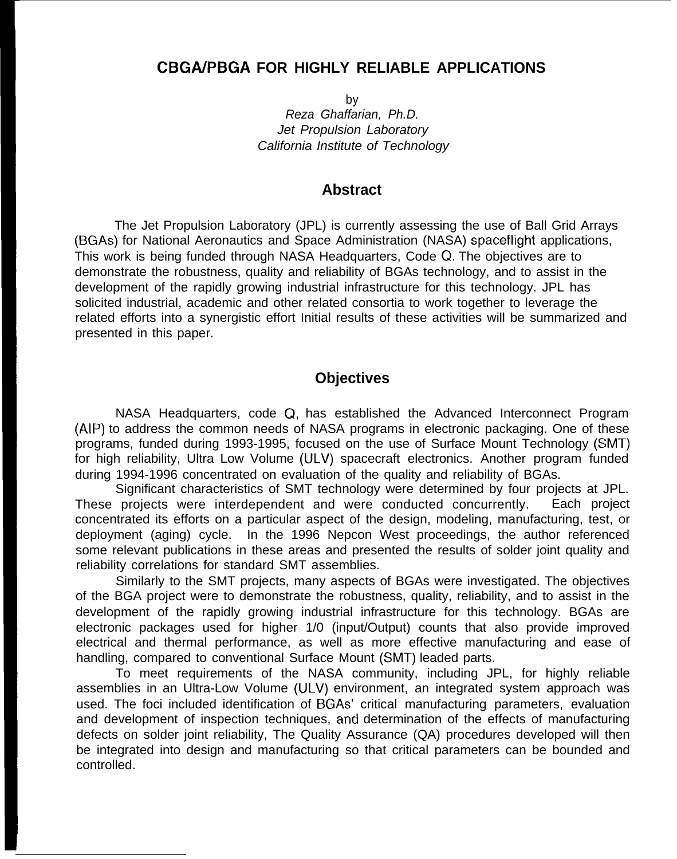# **CBGA/PBGA FOR HIGHLY RELIABLE APPLICATIONS**

by Reza Ghaffarian, Ph.D. Jet Propulsion Laboratory California Institute of Technology

### **Abstract**

The Jet Propulsion Laboratory (JPL) is currently assessing the use of Ball Grid Arrays (BGAs) for National Aeronautics and Space Administration (NASA) spaceflight applications, This work is being funded through NASA Headquarters, Code Q. The objectives are to demonstrate the robustness, quality and reliability of BGAs technology, and to assist in the development of the rapidly growing industrial infrastructure for this technology. JPL has solicited industrial, academic and other related consortia to work together to leverage the related efforts into a synergistic effort Initial results of these activities will be summarized and presented in this paper.

## **Objectives**

NASA Headquarters, code Q, has established the Advanced Interconnect Program (AIP) to address the common needs of NASA programs in electronic packaging. One of these programs, funded during 1993-1995, focused on the use of Surface Mount Technology (SMT) for high reliability, Ultra Low Volume (ULV) spacecraft electronics. Another program funded during 1994-1996 concentrated on evaluation of the quality and reliability of BGAs.

Significant characteristics of SMT technology were determined by four projects at JPL. These projects were interdependent and were conducted concurrently. Each project concentrated its efforts on a particular aspect of the design, modeling, manufacturing, test, or deployment (aging) cycle. In the 1996 Nepcon West proceedings, the author referenced some relevant publications in these areas and presented the results of solder joint quality and reliability correlations for standard SMT assemblies.

Similarly to the SMT projects, many aspects of BGAs were investigated. The objectives of the BGA project were to demonstrate the robustness, quality, reliability, and to assist in the development of the rapidly growing industrial infrastructure for this technology. BGAs are electronic packages used for higher 1/0 (input/Output) counts that also provide improved electrical and thermal performance, as well as more effective manufacturing and ease of handling, compared to conventional Surface Mount (SMT) leaded parts.

To meet requirements of the NASA community, including JPL, for highly reliable assemblies in an Ultra-Low Volume (ULV) environment, an integrated system approach was used. The foci included identification of BGAs' critical manufacturing parameters, evaluation and development of inspection techniques, and determination of the effects of manufacturing defects on solder joint reliability, The Quality Assurance (QA) procedures developed will then be integrated into design and manufacturing so that critical parameters can be bounded and controlled.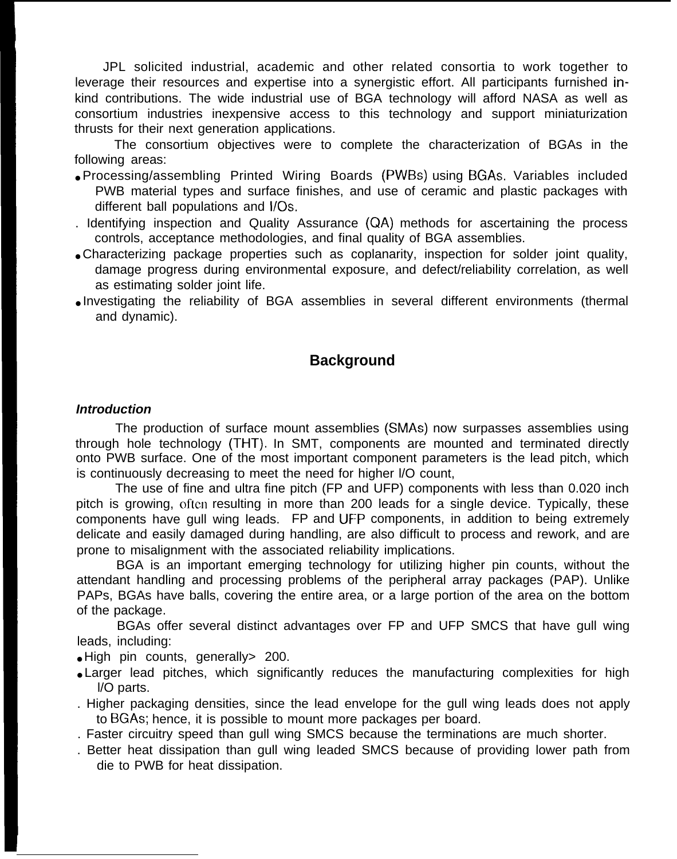JPL solicited industrial, academic and other related consortia to work together to leverage their resources and expertise into a synergistic effort. All participants furnished inkind contributions. The wide industrial use of BGA technology will afford NASA as well as consortium industries inexpensive access to this technology and support miniaturization thrusts for their next generation applications.

The consortium objectives were to complete the characterization of BGAs in the following areas:

- Processing/assembling Printed Wiring Boards (PWBS) using BGAs. Variables included PWB material types and surface finishes, and use of ceramic and plastic packages with different ball populations and l/Os.
- . Identifying inspection and Quality Assurance (QA) methods for ascertaining the process controls, acceptance methodologies, and final quality of BGA assemblies.
- Characterizing package properties such as coplanarity, inspection for solder joint quality, damage progress during environmental exposure, and defect/reliability correlation, as well as estimating solder joint life.
- Investigating the reliability of BGA assemblies in several different environments (thermal and dynamic).

## **Background**

#### **Introduction**

The production of surface mount assemblies (SMAS) now surpasses assemblies using through hole technology (THT). In SMT, components are mounted and terminated directly onto PWB surface. One of the most important component parameters is the lead pitch, which is continuously decreasing to meet the need for higher l/O count,

The use of fine and ultra fine pitch (FP and UFP) components with less than 0.020 inch pitch is growing, often resulting in more than 200 leads for a single device. Typically, these components have gull wing leads. FP and UF'P components, in addition to being extremely delicate and easily damaged during handling, are also difficult to process and rework, and are prone to misalignment with the associated reliability implications.

BGA is an important emerging technology for utilizing higher pin counts, without the attendant handling and processing problems of the peripheral array packages (PAP). Unlike PAPs, BGAs have balls, covering the entire area, or a large portion of the area on the bottom of the package.

BGAs offer several distinct advantages over FP and UFP SMCS that have gull wing leads, including:

- High pin counts, generally 200.
- Larger lead pitches, which significantly reduces the manufacturing complexities for high l/O parts.
- . Higher packaging densities, since the lead envelope for the gull wing leads does not apply to BGAs; hence, it is possible to mount more packages per board.
- . Faster circuitry speed than gull wing SMCS because the terminations are much shorter.
- . Better heat dissipation than gull wing leaded SMCS because of providing lower path from die to PWB for heat dissipation.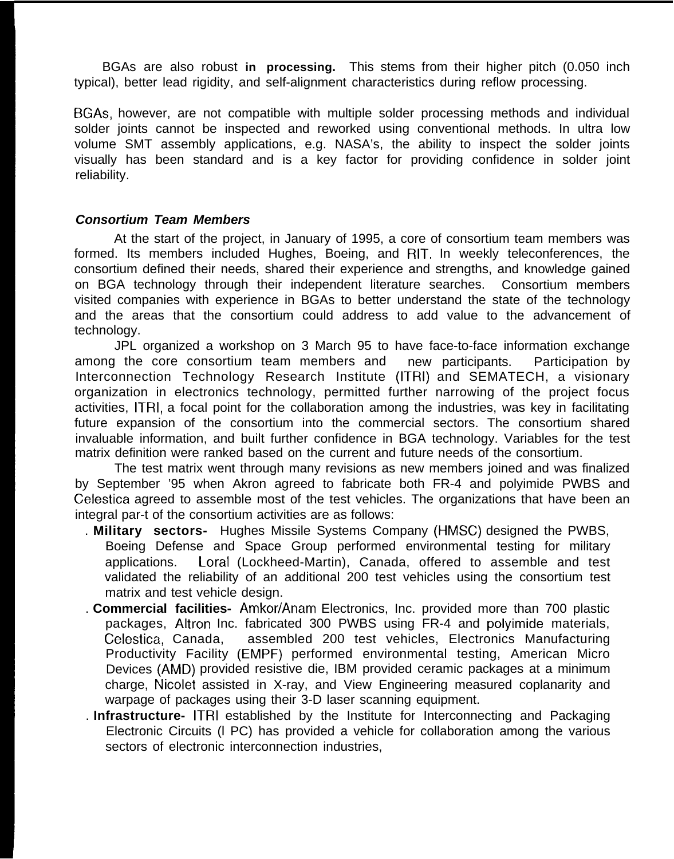BGAs are also robust **in processing.** This stems from their higher pitch (0.050 inch typical), better lead rigidity, and self-alignment characteristics during reflow processing.

BGAs, however, are not compatible with multiple solder processing methods and individual solder joints cannot be inspected and reworked using conventional methods. In ultra low volume SMT assembly applications, e.g. NASA's, the ability to inspect the solder joints visually has been standard and is a key factor for providing confidence in solder joint reliability.

#### **Consortium Team Members**

At the start of the project, in January of 1995, a core of consortium team members was formed. Its members included Hughes, Boeing, and RIT. In weekly teleconferences, the consortium defined their needs, shared their experience and strengths, and knowledge gained on BGA technology through their independent literature searches. Consortium members visited companies with experience in BGAs to better understand the state of the technology and the areas that the consortium could address to add value to the advancement of technology.

JPL organized a workshop on 3 March 95 to have face-to-face information exchange among the core consortium team members and new participants. Participation by Interconnection Technology Research Institute (ITRI) and SEMATECH, a visionary organization in electronics technology, permitted further narrowing of the project focus activities, ITRI, a focal point for the collaboration among the industries, was key in facilitating future expansion of the consortium into the commercial sectors. The consortium shared invaluable information, and built further confidence in BGA technology. Variables for the test matrix definition were ranked based on the current and future needs of the consortium.

The test matrix went through many revisions as new members joined and was finalized by September '95 when Akron agreed to fabricate both FR-4 and polyimide PWBS and Celestica agreed to assemble most of the test vehicles. The organizations that have been an integral par-t of the consortium activities are as follows:

- . **Military sectors-** Hughes Missile Systems Company (HMSC) designed the PWBS, Boeing Defense and Space Group performed environmental testing for military applications. Loral (Lockheed-Martin), Canada, offered to assemble and test validated the reliability of an additional 200 test vehicles using the consortium test matrix and test vehicle design.
- . **Commercial facilities-** Amkor/Anam Electronics, Inc. provided more than 700 plastic packages, Altron Inc. fabricated 300 PWBS using FR-4 and polyimide materials, Celestica, Canada, assembled 200 test vehicles, Electronics Manufacturing Productivity Facility (EMPF) performed environmental testing, American Micro Devices (AMD) provided resistive die, IBM provided ceramic packages at a minimum charge, Nicolet assisted in X-ray, and View Engineering measured coplanarity and warpage of packages using their 3-D laser scanning equipment.
- . **Infrastructure-** ITRI established by the Institute for Interconnecting and Packaging Electronic Circuits (l PC) has provided a vehicle for collaboration among the various sectors of electronic interconnection industries,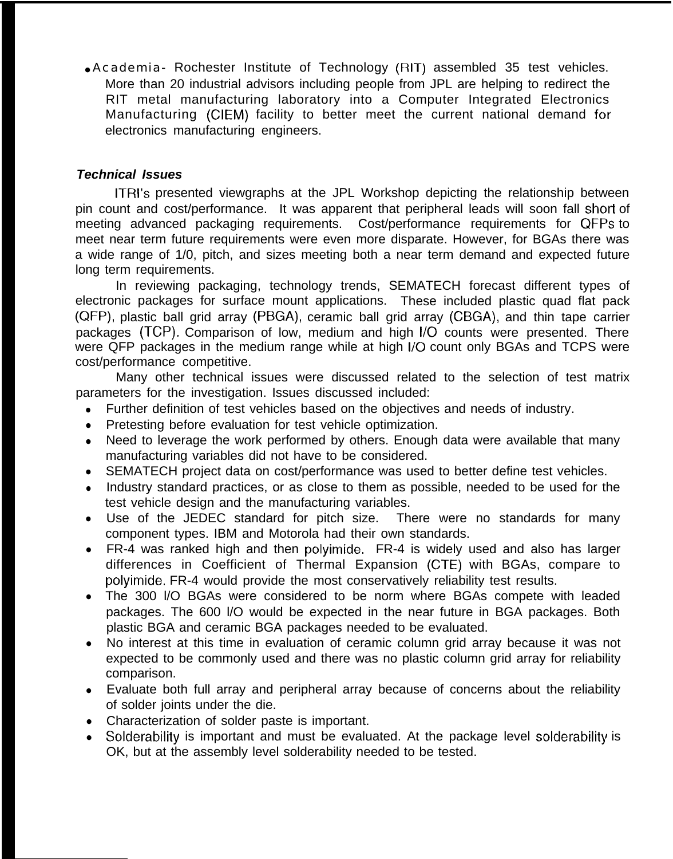• Academia- Rochester Institute of Technology (RIT) assembled 35 test vehicles. More than 20 industrial advisors including people from JPL are helping to redirect the RIT metal manufacturing laboratory into a Computer Integrated Electronics Manufacturing (CIEM) facility to better meet the current national demand for electronics manufacturing engineers.

## **Technical Issues**

ITRI's presented viewgraphs at the JPL Workshop depicting the relationship between pin count and cost/performance. It was apparent that peripheral leads will soon fall short of meeting advanced packaging requirements. Cost/performance requirements for QFPs to meet near term future requirements were even more disparate. However, for BGAs there was a wide range of 1/0, pitch, and sizes meeting both a near term demand and expected future long term requirements.

In reviewing packaging, technology trends, SEMATECH forecast different types of electronic packages for surface mount applications. These included plastic quad flat pack (QFP), plastic ball grid array (PBGA), ceramic ball grid array (CBGA), and thin tape carrier packages (TCP). Comparison of low, medium and high I/O counts were presented. There were QFP packages in the medium range while at high I/O count only BGAs and TCPS were cost/performance competitive.

Many other technical issues were discussed related to the selection of test matrix parameters for the investigation. Issues discussed included:

- Further definition of test vehicles based on the objectives and needs of industry.
- Pretesting before evaluation for test vehicle optimization.
- Need to leverage the work performed by others. Enough data were available that many manufacturing variables did not have to be considered.
- SEMATECH project data on cost/performance was used to better define test vehicles.
- Industry standard practices, or as close to them as possible, needed to be used for the test vehicle design and the manufacturing variables.
- Use of the JEDEC standard for pitch size. There were no standards for many component types. IBM and Motorola had their own standards.
- FR-4 was ranked high and then polyimide. FR-4 is widely used and also has larger differences in Coefficient of Thermal Expansion (CTE) with BGAs, compare to polyimide. FR-4 would provide the most conservatively reliability test results.
- $\bullet$ The 300 l/O BGAs were considered to be norm where BGAs compete with leaded packages. The 600 l/O would be expected in the near future in BGA packages. Both plastic BGA and ceramic BGA packages needed to be evaluated.
- No interest at this time in evaluation of ceramic column grid array because it was not expected to be commonly used and there was no plastic column grid array for reliability comparison.
- $\bullet$ Evaluate both full array and peripheral array because of concerns about the reliability of solder joints under the die.
- Characterization of solder paste is important.
- Solderability is important and must be evaluated. At the package level solderability is OK, but at the assembly level solderability needed to be tested.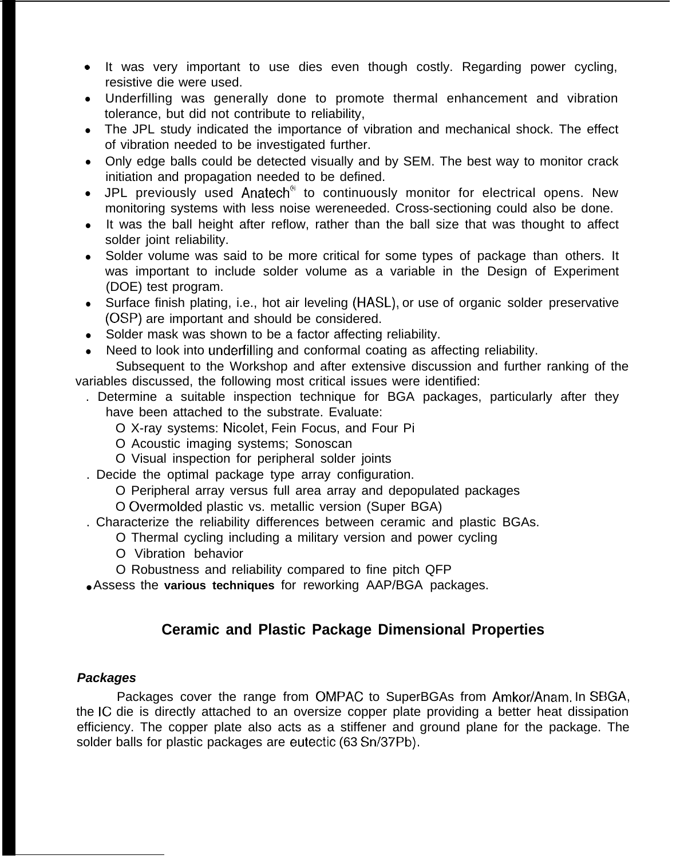- **b** It was very important to use dies even though costly. Regarding power cycling, resistive die were used.
- Underfilling was generally done to promote thermal enhancement and vibration tolerance, but did not contribute to reliability,
- The JPL study indicated the importance of vibration and mechanical shock. The effect of vibration needed to be investigated further.
- Only edge balls could be detected visually and by SEM. The best way to monitor crack initiation and propagation needed to be defined.
- JPL previously used Anatech<sup>®</sup> to continuously monitor for electrical opens. New monitoring systems with less noise wereneeded. Cross-sectioning could also be done.
- It was the ball height after reflow, rather than the ball size that was thought to affect solder joint reliability.
- Solder volume was said to be more critical for some types of package than others. It was important to include solder volume as a variable in the Design of Experiment (DOE) test program.
- Surface finish plating, i.e., hot air leveling (HASL), or use of organic solder preservative (OSP) are important and should be considered.
- Solder mask was shown to be a factor affecting reliability.
- Need to look into underfilling and conformal coating as affecting reliability.

Subsequent to the Workshop and after extensive discussion and further ranking of the variables discussed, the following most critical issues were identified:

- . Determine a suitable inspection technique for BGA packages, particularly after they have been attached to the substrate. Evaluate:
	- O X-ray systems: Nicolet, Fein Focus, and Four Pi
	- O Acoustic imaging systems; Sonoscan
	- O Visual inspection for peripheral solder joints
- . Decide the optimal package type array configuration.
	- O Peripheral array versus full area array and depopulated packages
	- O Overmolded plastic vs. metallic version (Super BGA)
- . Characterize the reliability differences between ceramic and plastic BGAs.
	- O Thermal cycling including a military version and power cycling
	- O Vibration behavior
	- O Robustness and reliability compared to fine pitch QFP
- Assess the **various techniques** for reworking AAP/BGA packages.

# **Ceramic and Plastic Package Dimensional Properties**

#### **Packages**

Packages cover the range from OMPAC to SuperBGAs from Amkor/Anam. In SBGA, the IC die is directly attached to an oversize copper plate providing a better heat dissipation efficiency. The copper plate also acts as a stiffener and ground plane for the package. The solder balls for plastic packages are eutectic (63 Sn/37Pb).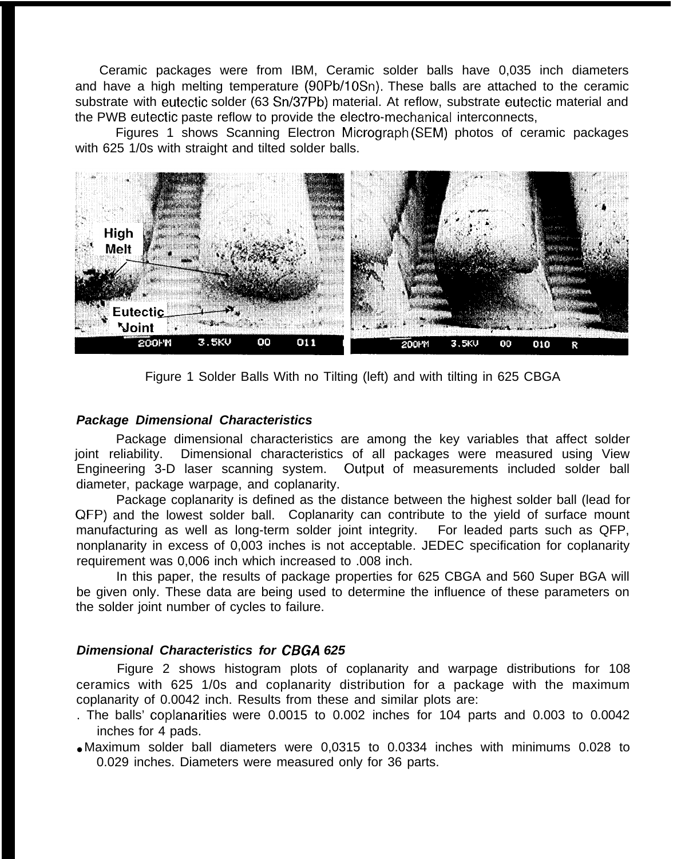Ceramic packages were from IBM, Ceramic solder balls have 0,035 inch diameters and have a high melting temperature (90Pb/1 OSn). These balls are attached to the ceramic substrate with eutectic solder (63 Sn/37Pb) material. At reflow, substrate eutectic material and the PWB eutectic paste reflow to provide the electro-mechanical interconnects,

Figures 1 shows Scanning Electron Micrograph (SEM) photos of ceramic packages with 625 1/0s with straight and tilted solder balls.



Figure 1 Solder Balls With no Tilting (left) and with tilting in 625 CBGA

#### **Package Dimensional Characteristics**

Package dimensional characteristics are among the key variables that affect solder joint reliability. Dimensional characteristics of all packages were measured using View Engineering 3-D laser scanning system. Output of measurements included solder ball diameter, package warpage, and coplanarity.

Package coplanarity is defined as the distance between the highest solder ball (lead for QFP) and the lowest solder ball. Coplanarity can contribute to the yield of surface mount manufacturing as well as long-term solder joint integrity. For leaded parts such as QFP, nonplanarity in excess of 0,003 inches is not acceptable. JEDEC specification for coplanarity requirement was 0,006 inch which increased to .008 inch.

In this paper, the results of package properties for 625 CBGA and 560 Super BGA will be given only. These data are being used to determine the influence of these parameters on the solder joint number of cycles to failure.

#### **Dimensional Characteristics for CBGA 625**

Figure 2 shows histogram plots of coplanarity and warpage distributions for 108 ceramics with 625 1/0s and coplanarity distribution for a package with the maximum coplanarity of 0.0042 inch. Results from these and similar plots are:

- . The balls' coplanarities were 0.0015 to 0.002 inches for 104 parts and 0.003 to 0.0042 inches for 4 pads.
- Maximum solder ball diameters were 0,0315 to 0.0334 inches with minimums 0.028 to 0.029 inches. Diameters were measured only for 36 parts.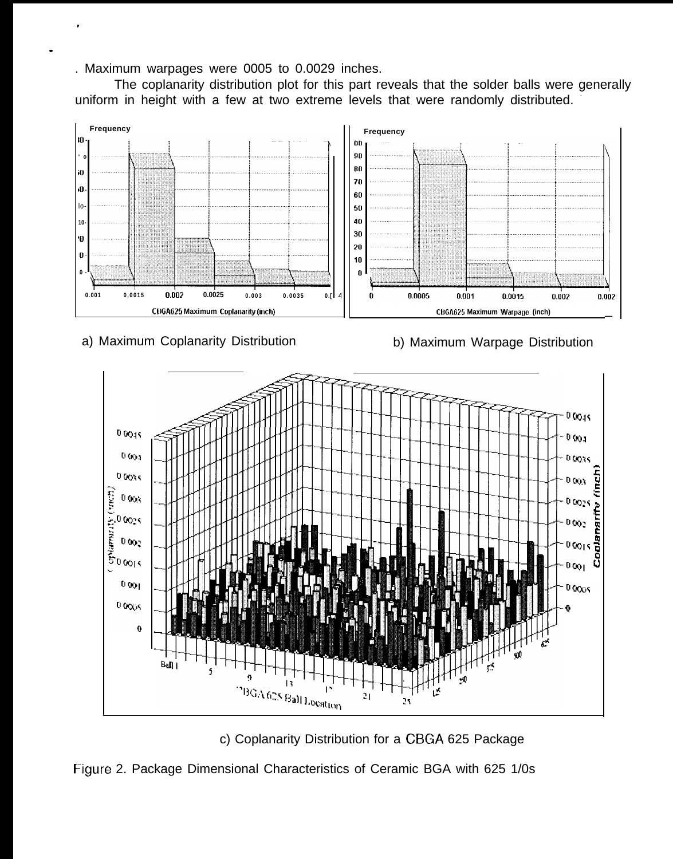. Maximum warpages were 0005 to 0.0029 inches.

.

.

The coplanarity distribution plot for this part reveals that the solder balls were generally uniform in height with a few at two extreme levels that were randomly distributed.



a) Maximum Coplanarity Distribution

b) Maximum Warpage Distribution



c) Coplanarity Distribution for a CBGA 625 Package

Figure 2. Package Dimensional Characteristics of Ceramic BGA with 625 1/0s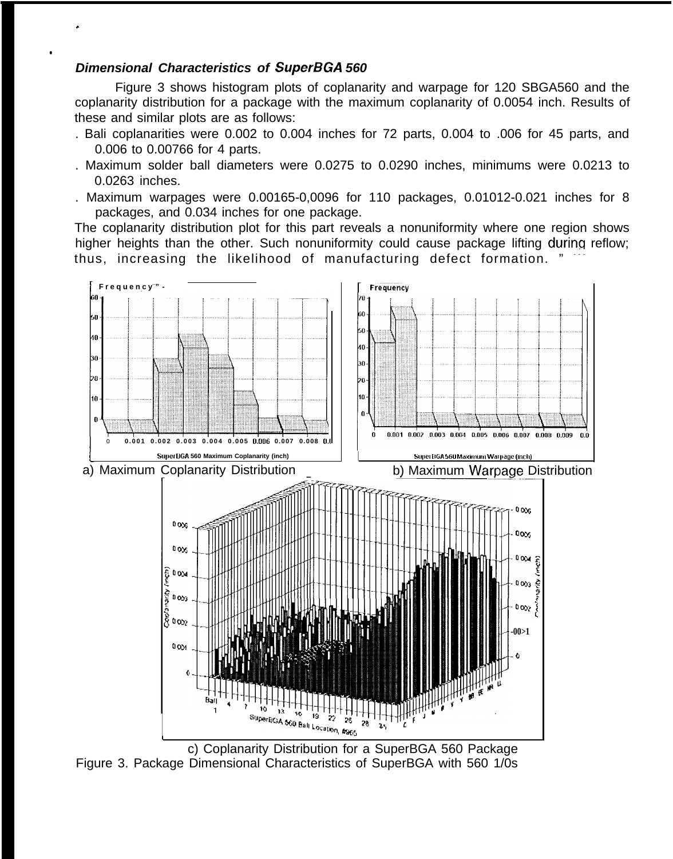## **Dimensional Characteristics of SuperBGA 560**

.

●

Figure 3 shows histogram plots of coplanarity and warpage for 120 SBGA560 and the coplanarity distribution for a package with the maximum coplanarity of 0.0054 inch. Results of these and similar plots are as follows:

- . Bali coplanarities were 0.002 to 0.004 inches for 72 parts, 0.004 to .006 for 45 parts, and 0.006 to 0.00766 for 4 parts.
- . Maximum solder ball diameters were 0.0275 to 0.0290 inches, minimums were 0.0213 to 0.0263 inches.
- . Maximum warpages were 0.00165-0,0096 for 110 packages, 0.01012-0.021 inches for 8 packages, and 0.034 inches for one package.

The coplanarity distribution plot for this part reveals a nonuniformity where one region shows higher heights than the other. Such nonuniformity could cause package lifting during reflow; thus, increasing the likelihood of manufacturing defect formation.

![](_page_7_Figure_6.jpeg)

c) Coplanarity Distribution for a SuperBGA 560 Package Figure 3. Package Dimensional Characteristics of SuperBGA with 560 1/0s